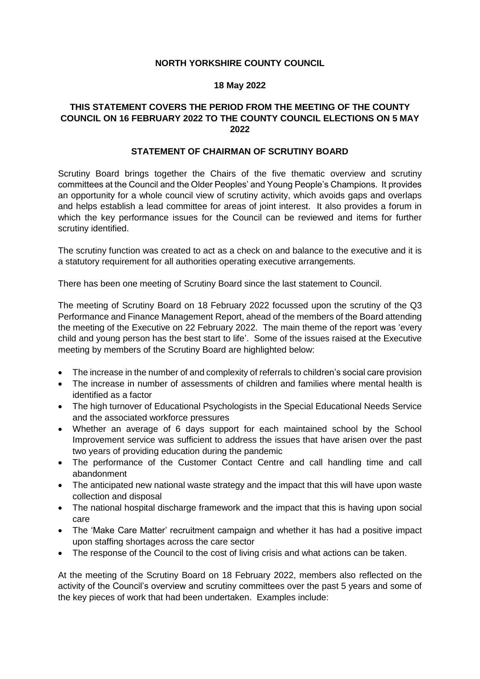## **NORTH YORKSHIRE COUNTY COUNCIL**

## **18 May 2022**

## **THIS STATEMENT COVERS THE PERIOD FROM THE MEETING OF THE COUNTY COUNCIL ON 16 FEBRUARY 2022 TO THE COUNTY COUNCIL ELECTIONS ON 5 MAY 2022**

## **STATEMENT OF CHAIRMAN OF SCRUTINY BOARD**

Scrutiny Board brings together the Chairs of the five thematic overview and scrutiny committees at the Council and the Older Peoples' and Young People's Champions. It provides an opportunity for a whole council view of scrutiny activity, which avoids gaps and overlaps and helps establish a lead committee for areas of joint interest. It also provides a forum in which the key performance issues for the Council can be reviewed and items for further scrutiny identified.

The scrutiny function was created to act as a check on and balance to the executive and it is a statutory requirement for all authorities operating executive arrangements.

There has been one meeting of Scrutiny Board since the last statement to Council.

The meeting of Scrutiny Board on 18 February 2022 focussed upon the scrutiny of the Q3 Performance and Finance Management Report, ahead of the members of the Board attending the meeting of the Executive on 22 February 2022. The main theme of the report was 'every child and young person has the best start to life'. Some of the issues raised at the Executive meeting by members of the Scrutiny Board are highlighted below:

- The increase in the number of and complexity of referrals to children's social care provision
- The increase in number of assessments of children and families where mental health is identified as a factor
- The high turnover of Educational Psychologists in the Special Educational Needs Service and the associated workforce pressures
- Whether an average of 6 days support for each maintained school by the School Improvement service was sufficient to address the issues that have arisen over the past two years of providing education during the pandemic
- The performance of the Customer Contact Centre and call handling time and call abandonment
- The anticipated new national waste strategy and the impact that this will have upon waste collection and disposal
- The national hospital discharge framework and the impact that this is having upon social care
- The 'Make Care Matter' recruitment campaign and whether it has had a positive impact upon staffing shortages across the care sector
- The response of the Council to the cost of living crisis and what actions can be taken.

At the meeting of the Scrutiny Board on 18 February 2022, members also reflected on the activity of the Council's overview and scrutiny committees over the past 5 years and some of the key pieces of work that had been undertaken. Examples include: